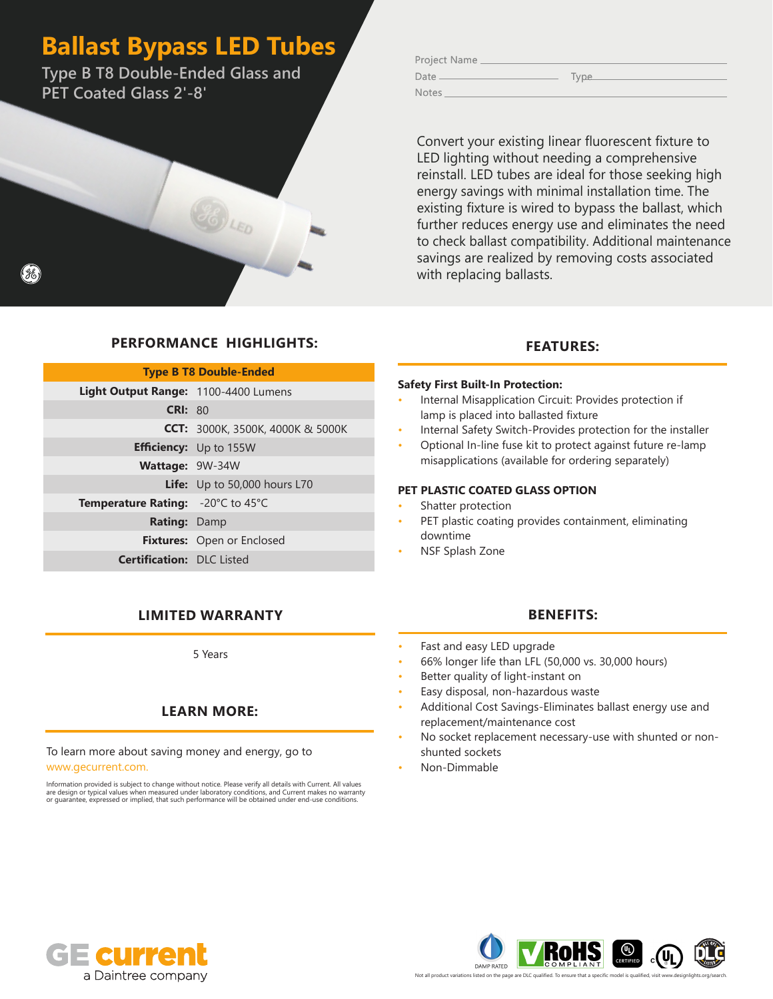# **Ballast Bypass LED Tubes**

**Type B T8 Double-Ended Glass and PET Coated Glass 2'-8'**

Convert your existing linear fluorescent fixture to LED lighting without needing a comprehensive reinstall. LED tubes are ideal for those seeking high energy savings with minimal installation time. The existing fixture is wired to bypass the ballast, which further reduces energy use and eliminates the need to check ballast compatibility. Additional maintenance savings are realized by removing costs associated with replacing ballasts.

### **FEATURES:**

### **Safety First Built-In Protection:**

- Internal Misapplication Circuit: Provides protection if lamp is placed into ballasted fixture
- Internal Safety Switch-Provides protection for the installer
- Optional In-line fuse kit to protect against future re-lamp misapplications (available for ordering separately)

### **PET PLASTIC COATED GLASS OPTION**

- Shatter protection
- PET plastic coating provides containment, eliminating downtime
- NSF Splash Zone

## **LIMITED WARRANTY BENEFITS:**

**Fixtures:** Open or Enclosed

**PERFORMANCE HIGHLIGHTS:**

**Type B T8 Double-Ended**

**CCT:** 3000K, 3500K, 4000K & 5000K

**Life:** Up to 50,000 hours L70

**Light Output Range:** 1100-4400 Lumens **CRI:** 80

> **Efficiency:** Up to 155W **Wattage:**  9W-34W

**Temperature Rating:** -20°C to 45°C **Rating:** Damp

**Certification:** DLC Listed

5 Years

## **LEARN MORE:**

## To learn more about saving money and energy, go to

www.gecurrent.com.

Information provided is subject to change without notice. Please verify all details with Current. All values<br>are design or typical values when measured under laboratory conditions, and Current makes no warranty<br>or guarante

- Fast and easy LED upgrade
- 66% longer life than LFL (50,000 vs. 30,000 hours)
- Better quality of light-instant on
- Easy disposal, non-hazardous waste
- Additional Cost Savings-Eliminates ballast energy use and replacement/maintenance cost
- No socket replacement necessary-use with shunted or nonshunted sockets
- Non-Dimmable



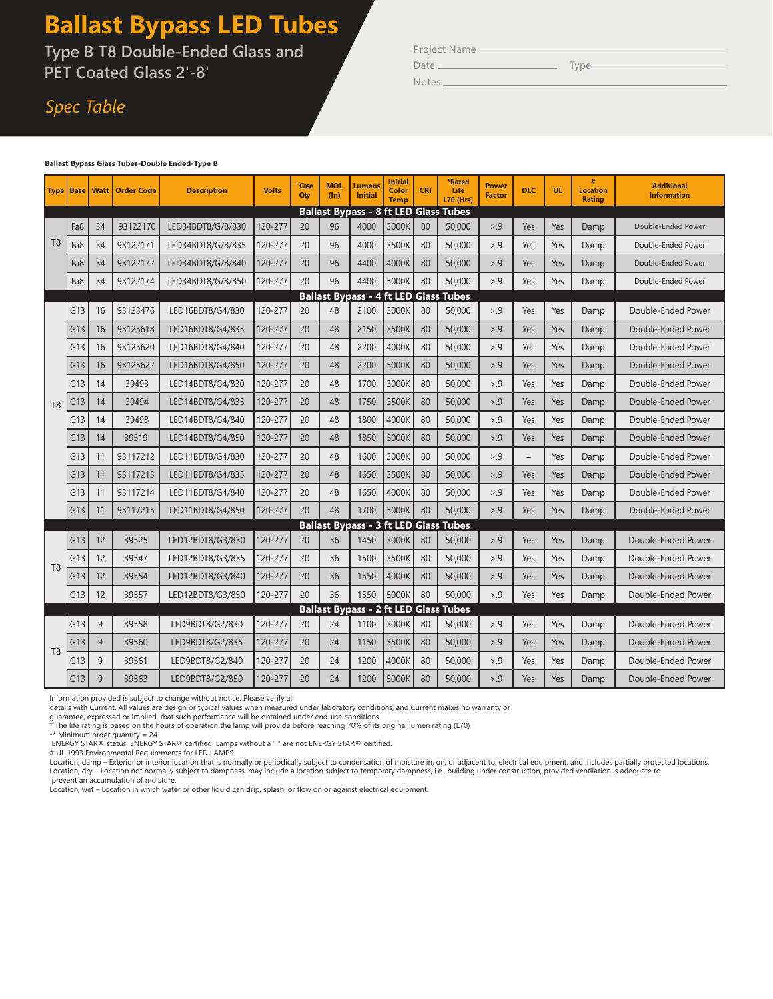# **Ballast Bypass LED Tubes**

**Type B T8 Double-Ended Glass and PET Coated Glass 2'-8'**

# *Spec Table*

| Project Name |  |
|--------------|--|
|--------------|--|

Notes

Date Type

#### **Ballast Bypass Glass Tubes-Double Ended-Type B**

|                                              |     |    | <b>Type   Base   Watt   Order Code</b> | <b>Description</b> | <b>Volts</b> | "Case<br>Qty | <b>MOL</b><br>$(\ln)$ | <b>Lumens</b><br><b>Initial</b> | <b>Initial</b><br>Color<br><b>Temp</b> | <b>CRI</b> | <b>*Rated</b><br>Life<br><b>L70 (Hrs)</b>    | <b>Power</b><br><b>Factor</b> | <b>DLC</b>               | <b>UL</b> | <b>Location</b><br><b>Rating</b> | <b>Additional</b><br><b>Information</b> |
|----------------------------------------------|-----|----|----------------------------------------|--------------------|--------------|--------------|-----------------------|---------------------------------|----------------------------------------|------------|----------------------------------------------|-------------------------------|--------------------------|-----------|----------------------------------|-----------------------------------------|
|                                              |     |    |                                        |                    |              |              |                       |                                 |                                        |            | <b>Ballast Bypass - 8 ft LED Glass Tubes</b> |                               |                          |           |                                  |                                         |
|                                              | Fa8 | 34 | 93122170                               | LED34BDT8/G/8/830  | 120-277      | 20           | 96                    | 4000                            | 3000K                                  | 80         | 50,000                                       | > 0.9                         | Yes                      | Yes       | Damp                             | Double-Ended Power                      |
| T <sub>8</sub>                               | Fa8 | 34 | 93122171                               | LED34BDT8/G/8/835  | 120-277      | 20           | 96                    | 4000                            | 3500K                                  | 80         | 50,000                                       | > 9                           | Yes                      | Yes       | Damp                             | Double-Ended Power                      |
|                                              | Fa8 | 34 | 93122172                               | LED34BDT8/G/8/840  | 120-277      | 20           | 96                    | 4400                            | 4000K                                  | 80         | 50,000                                       | > 0.9                         | Yes                      | Yes       | Damp                             | Double-Ended Power                      |
|                                              | Fa8 | 34 | 93122174                               | LED34BDT8/G/8/850  | 120-277      | 20           | 96                    | 4400                            | 5000K                                  | 80         | 50,000                                       | > 0.9                         | Yes                      | Yes       | Damp                             | Double-Ended Power                      |
|                                              |     |    |                                        |                    |              |              |                       |                                 |                                        |            | <b>Ballast Bypass - 4 ft LED Glass Tubes</b> |                               |                          |           |                                  |                                         |
|                                              | G13 | 16 | 93123476                               | LED16BDT8/G4/830   | 120-277      | 20           | 48                    | 2100                            | 3000K                                  | 80         | 50,000                                       | > 9                           | Yes                      | Yes       | Damp                             | Double-Ended Power                      |
|                                              | G13 | 16 | 93125618                               | LED16BDT8/G4/835   | 120-277      | 20           | 48                    | 2150                            | 3500K                                  | 80         | 50,000                                       | > 0.9                         | Yes                      | Yes       | Damp                             | Double-Ended Power                      |
|                                              | G13 | 16 | 93125620                               | LED16BDT8/G4/840   | 120-277      | 20           | 48                    | 2200                            | 4000K                                  | 80         | 50,000                                       | > 0.9                         | Yes                      | Yes       | Damp                             | Double-Ended Power                      |
|                                              | G13 | 16 | 93125622                               | LED16BDT8/G4/850   | 120-277      | 20           | 48                    | 2200                            | 5000K                                  | 80         | 50,000                                       | > 9                           | Yes                      | Yes       | Damp                             | Double-Ended Power                      |
|                                              | G13 | 14 | 39493                                  | LED14BDT8/G4/830   | 120-277      | 20           | 48                    | 1700                            | 3000K                                  | 80         | 50,000                                       | > 0.9                         | Yes                      | Yes       | Damp                             | Double-Ended Power                      |
| T <sub>8</sub>                               | G13 | 14 | 39494                                  | LED14BDT8/G4/835   | 120-277      | 20           | 48                    | 1750                            | 3500K                                  | 80         | 50,000                                       | > 9                           | Yes                      | Yes       | Damp                             | Double-Ended Power                      |
|                                              | G13 | 14 | 39498                                  | LED14BDT8/G4/840   | 120-277      | 20           | 48                    | 1800                            | 4000K                                  | 80         | 50,000                                       | > 9                           | Yes                      | Yes       | Damp                             | Double-Ended Power                      |
|                                              | G13 | 14 | 39519                                  | LED14BDT8/G4/850   | 120-277      | 20           | 48                    | 1850                            | 5000K                                  | 80         | 50,000                                       | > 0.9                         | Yes                      | Yes       | Damp                             | Double-Ended Power                      |
|                                              | G13 | 11 | 93117212                               | LED11BDT8/G4/830   | 120-277      | 20           | 48                    | 1600                            | 3000K                                  | 80         | 50,000                                       | > 0.9                         | $\overline{\phantom{m}}$ | Yes       | Damp                             | Double-Ended Power                      |
|                                              | G13 | 11 | 93117213                               | LED11BDT8/G4/835   | 120-277      | 20           | 48                    | 1650                            | 3500K                                  | 80         | 50,000                                       | > 9                           | Yes                      | Yes       | Damp                             | Double-Ended Power                      |
|                                              | G13 | 11 | 93117214                               | LED11BDT8/G4/840   | 120-277      | 20           | 48                    | 1650                            | 4000K                                  | 80         | 50,000                                       | > 0.9                         | Yes                      | Yes       | Damp                             | Double-Ended Power                      |
|                                              | G13 | 11 | 93117215                               | LED11BDT8/G4/850   | 120-277      | 20           | 48                    | 1700                            | 5000K                                  | 80         | 50,000                                       | > 0.9                         | Yes                      | Yes       | Damp                             | Double-Ended Power                      |
|                                              |     |    |                                        |                    |              |              |                       |                                 |                                        |            | <b>Ballast Bypass - 3 ft LED Glass Tubes</b> |                               |                          |           |                                  |                                         |
|                                              | G13 | 12 | 39525                                  | LED12BDT8/G3/830   | 120-277      | 20           | 36                    | 1450                            | 3000K                                  | 80         | 50,000                                       | > 0.9                         | Yes                      | Yes       | Damp                             | Double-Ended Power                      |
| T <sub>8</sub>                               | G13 | 12 | 39547                                  | LED12BDT8/G3/835   | 120-277      | 20           | 36                    | 1500                            | 3500K                                  | 80         | 50,000                                       | > 0.9                         | Yes                      | Yes       | Damp                             | Double-Ended Power                      |
|                                              | G13 | 12 | 39554                                  | LED12BDT8/G3/840   | 120-277      | 20           | 36                    | 1550                            | 4000K                                  | 80         | 50,000                                       | > 0.9                         | Yes                      | Yes       | Damp                             | Double-Ended Power                      |
|                                              | G13 | 12 | 39557                                  | LED12BDT8/G3/850   | 120-277      | 20           | 36                    | 1550                            | 5000K                                  | 80         | 50,000                                       | > 9                           | Yes                      | Yes       | Damp                             | Double-Ended Power                      |
| <b>Ballast Bypass - 2 ft LED Glass Tubes</b> |     |    |                                        |                    |              |              |                       |                                 |                                        |            |                                              |                               |                          |           |                                  |                                         |
|                                              | G13 | 9  | 39558                                  | LED9BDT8/G2/830    | 120-277      | 20           | 24                    | 1100                            | 3000K                                  | 80         | 50,000                                       | > 0.9                         | Yes                      | Yes       | Damp                             | Double-Ended Power                      |
| T <sub>8</sub>                               | G13 | 9  | 39560                                  | LED9BDT8/G2/835    | 120-277      | 20           | 24                    | 1150                            | 3500K                                  | 80         | 50,000                                       | > 0.9                         | Yes                      | Yes       | Damp                             | Double-Ended Power                      |
|                                              | G13 | 9  | 39561                                  | LED9BDT8/G2/840    | 120-277      | 20           | 24                    | 1200                            | 4000K                                  | 80         | 50,000                                       | > 0.9                         | Yes                      | Yes       | Damp                             | Double-Ended Power                      |
|                                              | G13 | 9  | 39563                                  | LED9BDT8/G2/850    | 120-277      | 20           | 24                    | 1200                            | 5000K                                  | 80         | 50,000                                       | > .9                          | Yes                      | Yes       | Damp                             | Double-Ended Power                      |

Information provided is subject to change without notice. Please verify all

details with Current. All values are design or typical values when measured under laboratory conditions, and Current makes no warranty or<br>guarantee, expressed or implied, that such performance will be obtained under end-us

\*\* Minimum order quantity = 24 ENERGY STAR® status: ENERGY STAR® certified. Lamps without a " " are not ENERGY STAR® certified.

# UL 1993 Environmental Requirements for LED LAMPS

Location, damp – Exterior or interior location that is normally or periodically subject to condensation of moisture in, on, or adjacent to, electrical equipment, and includes partially protected locations. Location, dry – Location not normally subject to dampness, may include a location subject to temporary dampness, i.e., building under construction, provided ventilation is adequate to

prevent an accumulation of moisture. Location, wet – Location in which water or other liquid can drip, splash, or flow on or against electrical equipment.